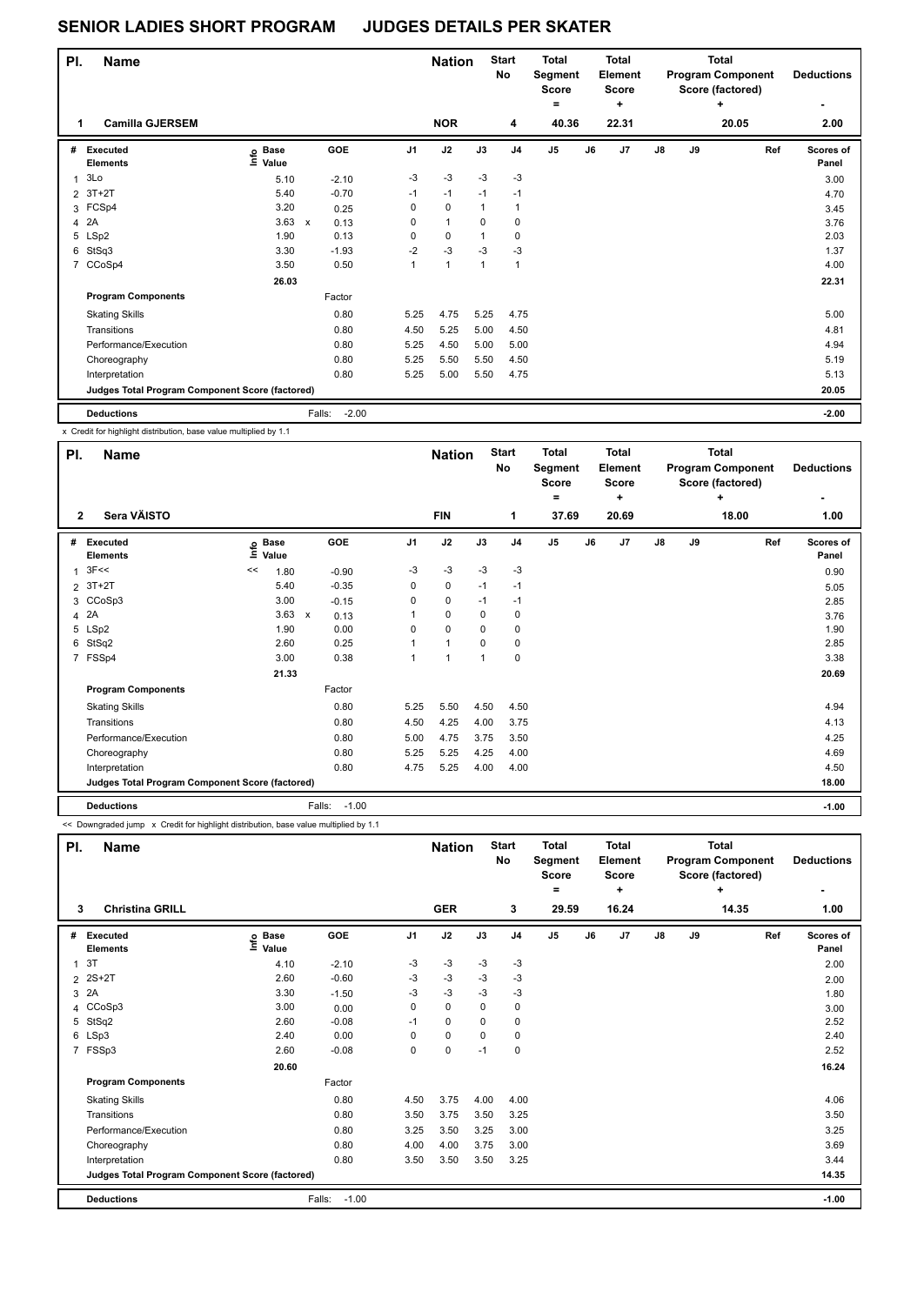## **SENIOR LADIES SHORT PROGRAM JUDGES DETAILS PER SKATER**

| PI. | <b>Name</b>                                     |                              |              |         | <b>Nation</b>  |              | <b>Start</b><br>No | <b>Total</b><br>Segment<br><b>Score</b><br>= |                | Total<br>Element<br><b>Score</b><br>٠ |       |    | <b>Total</b><br><b>Program Component</b><br>Score (factored)<br>٠ |       | <b>Deductions</b> |                    |
|-----|-------------------------------------------------|------------------------------|--------------|---------|----------------|--------------|--------------------|----------------------------------------------|----------------|---------------------------------------|-------|----|-------------------------------------------------------------------|-------|-------------------|--------------------|
| 1   | <b>Camilla GJERSEM</b>                          |                              |              |         |                | <b>NOR</b>   |                    | 4                                            | 40.36          |                                       | 22.31 |    |                                                                   | 20.05 |                   | 2.00               |
| #   | Executed<br><b>Elements</b>                     | <b>Base</b><br>١mfo<br>Value |              | GOE     | J <sub>1</sub> | J2           | J3                 | J <sub>4</sub>                               | J <sub>5</sub> | J6                                    | J7    | J8 | J9                                                                |       | Ref               | Scores of<br>Panel |
|     | 3Lo                                             | 5.10                         |              | $-2.10$ | $-3$           | $-3$         | $-3$               | $-3$                                         |                |                                       |       |    |                                                                   |       |                   | 3.00               |
|     | 2 3T+2T                                         | 5.40                         |              | $-0.70$ | $-1$           | $-1$         | $-1$               | $-1$                                         |                |                                       |       |    |                                                                   |       |                   | 4.70               |
|     | 3 FCSp4                                         | 3.20                         |              | 0.25    | 0              | $\mathbf 0$  | 1                  |                                              |                |                                       |       |    |                                                                   |       |                   | 3.45               |
| 4   | 2A                                              | 3.63                         | $\mathsf{x}$ | 0.13    | 0              | $\mathbf{1}$ | $\Omega$           | $\Omega$                                     |                |                                       |       |    |                                                                   |       |                   | 3.76               |
|     | 5 LSp2                                          | 1.90                         |              | 0.13    | $\mathbf 0$    | $\mathbf 0$  | 1                  | 0                                            |                |                                       |       |    |                                                                   |       |                   | 2.03               |
|     | 6 StSq3                                         | 3.30                         |              | $-1.93$ | $-2$           | $-3$         | $-3$               | $-3$                                         |                |                                       |       |    |                                                                   |       |                   | 1.37               |
|     | 7 CCoSp4                                        | 3.50                         |              | 0.50    | 1              | $\mathbf{1}$ | $\overline{1}$     | $\overline{1}$                               |                |                                       |       |    |                                                                   |       |                   | 4.00               |
|     |                                                 | 26.03                        |              |         |                |              |                    |                                              |                |                                       |       |    |                                                                   |       |                   | 22.31              |
|     | <b>Program Components</b>                       |                              |              | Factor  |                |              |                    |                                              |                |                                       |       |    |                                                                   |       |                   |                    |
|     | <b>Skating Skills</b>                           |                              |              | 0.80    | 5.25           | 4.75         | 5.25               | 4.75                                         |                |                                       |       |    |                                                                   |       |                   | 5.00               |
|     | Transitions                                     |                              |              | 0.80    | 4.50           | 5.25         | 5.00               | 4.50                                         |                |                                       |       |    |                                                                   |       |                   | 4.81               |
|     | Performance/Execution                           |                              |              | 0.80    | 5.25           | 4.50         | 5.00               | 5.00                                         |                |                                       |       |    |                                                                   |       |                   | 4.94               |
|     | Choreography                                    |                              |              | 0.80    | 5.25           | 5.50         | 5.50               | 4.50                                         |                |                                       |       |    |                                                                   |       |                   | 5.19               |
|     | Interpretation                                  |                              |              | 0.80    | 5.25           | 5.00         | 5.50               | 4.75                                         |                |                                       |       |    |                                                                   |       |                   | 5.13               |
|     | Judges Total Program Component Score (factored) |                              |              |         |                |              |                    |                                              |                |                                       |       |    |                                                                   |       |                   | 20.05              |
|     | <b>Deductions</b>                               |                              | Falls:       | $-2.00$ |                |              |                    |                                              |                |                                       |       |    |                                                                   |       |                   | $-2.00$            |

x Credit for highlight distribution, base value multiplied by 1.1

| PI.          | Name                                            |                              |       | <b>Nation</b>        |                | <b>Start</b><br><b>Total</b><br>No<br>Segment<br><b>Score</b><br>= |          |                | <b>Total</b><br>Element<br><b>Score</b><br>٠ |    | <b>Total</b><br><b>Program Component</b><br>Score (factored) | <b>Deductions</b> |    |       |                           |
|--------------|-------------------------------------------------|------------------------------|-------|----------------------|----------------|--------------------------------------------------------------------|----------|----------------|----------------------------------------------|----|--------------------------------------------------------------|-------------------|----|-------|---------------------------|
| $\mathbf{2}$ | Sera VÄISTO                                     |                              |       |                      |                | <b>FIN</b>                                                         |          | 1              | 37.69                                        |    | 20.69                                                        |                   |    | 18.00 | 1.00                      |
| #            | Executed<br><b>Elements</b>                     | <b>Base</b><br>١nf٥<br>Value |       | GOE                  | J <sub>1</sub> | J2                                                                 | J3       | J <sub>4</sub> | J <sub>5</sub>                               | J6 | J7                                                           | $\mathsf{J}8$     | J9 | Ref   | <b>Scores of</b><br>Panel |
| $\mathbf{1}$ | 3F<<                                            | <<                           | 1.80  | $-0.90$              | $-3$           | $-3$                                                               | $-3$     | $-3$           |                                              |    |                                                              |                   |    |       | 0.90                      |
|              | $2$ 3T+2T                                       |                              | 5.40  | $-0.35$              | 0              | $\pmb{0}$                                                          | $-1$     | $-1$           |                                              |    |                                                              |                   |    |       | 5.05                      |
|              | 3 CCoSp3                                        |                              | 3.00  | $-0.15$              | 0              | $\mathbf 0$                                                        | $-1$     | $-1$           |                                              |    |                                                              |                   |    |       | 2.85                      |
|              | 4 2A                                            |                              | 3.63  | 0.13<br>$\mathsf{x}$ |                | $\mathbf 0$                                                        | 0        | 0              |                                              |    |                                                              |                   |    |       | 3.76                      |
|              | 5 LSp2                                          |                              | 1.90  | 0.00                 | 0              | $\mathbf 0$                                                        | 0        | 0              |                                              |    |                                                              |                   |    |       | 1.90                      |
|              | 6 StSq2                                         |                              | 2.60  | 0.25                 |                | 1                                                                  | $\Omega$ | 0              |                                              |    |                                                              |                   |    |       | 2.85                      |
|              | 7 FSSp4                                         |                              | 3.00  | 0.38                 |                | -1                                                                 |          | 0              |                                              |    |                                                              |                   |    |       | 3.38                      |
|              |                                                 |                              | 21.33 |                      |                |                                                                    |          |                |                                              |    |                                                              |                   |    |       | 20.69                     |
|              | <b>Program Components</b>                       |                              |       | Factor               |                |                                                                    |          |                |                                              |    |                                                              |                   |    |       |                           |
|              | <b>Skating Skills</b>                           |                              |       | 0.80                 | 5.25           | 5.50                                                               | 4.50     | 4.50           |                                              |    |                                                              |                   |    |       | 4.94                      |
|              | Transitions                                     |                              |       | 0.80                 | 4.50           | 4.25                                                               | 4.00     | 3.75           |                                              |    |                                                              |                   |    |       | 4.13                      |
|              | Performance/Execution                           |                              |       | 0.80                 | 5.00           | 4.75                                                               | 3.75     | 3.50           |                                              |    |                                                              |                   |    |       | 4.25                      |
|              | Choreography                                    |                              |       | 0.80                 | 5.25           | 5.25                                                               | 4.25     | 4.00           |                                              |    |                                                              |                   |    |       | 4.69                      |
|              | Interpretation                                  |                              |       | 0.80                 | 4.75           | 5.25                                                               | 4.00     | 4.00           |                                              |    |                                                              |                   |    |       | 4.50                      |
|              | Judges Total Program Component Score (factored) |                              |       |                      |                |                                                                    |          |                |                                              |    |                                                              |                   |    |       | 18.00                     |
|              | <b>Deductions</b>                               |                              |       | $-1.00$<br>Falls:    |                |                                                                    |          |                |                                              |    |                                                              |                   |    |       | $-1.00$                   |

<< Downgraded jump x Credit for highlight distribution, base value multiplied by 1.1

| PI.          | <b>Name</b>                                     |                            |                   | <b>Nation</b>  |             | <b>Start</b><br>No | <b>Total</b><br>Segment<br>Score<br>٠ |                | <b>Total</b><br>Element<br><b>Score</b><br>٠ |       |               | Total<br><b>Program Component</b><br>Score (factored)<br>÷ | <b>Deductions</b> |                           |
|--------------|-------------------------------------------------|----------------------------|-------------------|----------------|-------------|--------------------|---------------------------------------|----------------|----------------------------------------------|-------|---------------|------------------------------------------------------------|-------------------|---------------------------|
| 3            | <b>Christina GRILL</b>                          |                            |                   |                | <b>GER</b>  |                    | 3                                     | 29.59          |                                              | 16.24 |               |                                                            | 14.35             | 1.00                      |
| #            | <b>Executed</b><br><b>Elements</b>              | e Base<br>E Value<br>Value | <b>GOE</b>        | J <sub>1</sub> | J2          | J3                 | J <sub>4</sub>                        | J <sub>5</sub> | J6                                           | J7    | $\mathsf{J}8$ | J9                                                         | Ref               | <b>Scores of</b><br>Panel |
| $\mathbf{1}$ | 3T                                              | 4.10                       | $-2.10$           | $-3$           | -3          | $-3$               | -3                                    |                |                                              |       |               |                                                            |                   | 2.00                      |
|              | 2 2S+2T                                         | 2.60                       | $-0.60$           | $-3$           | $-3$        | $-3$               | $-3$                                  |                |                                              |       |               |                                                            |                   | 2.00                      |
| 3            | 2A                                              | 3.30                       | $-1.50$           | -3             | $-3$        | -3                 | -3                                    |                |                                              |       |               |                                                            |                   | 1.80                      |
| 4            | CCoSp3                                          | 3.00                       | 0.00              | 0              | $\mathbf 0$ | 0                  | 0                                     |                |                                              |       |               |                                                            |                   | 3.00                      |
| 5            | StSq2                                           | 2.60                       | $-0.08$           | $-1$           | 0           | $\Omega$           | 0                                     |                |                                              |       |               |                                                            |                   | 2.52                      |
|              | 6 LSp3                                          | 2.40                       | 0.00              | 0              | $\mathbf 0$ | $\Omega$           | 0                                     |                |                                              |       |               |                                                            |                   | 2.40                      |
|              | 7 FSSp3                                         | 2.60                       | $-0.08$           | 0              | $\mathbf 0$ | $-1$               | $\mathbf 0$                           |                |                                              |       |               |                                                            |                   | 2.52                      |
|              |                                                 | 20.60                      |                   |                |             |                    |                                       |                |                                              |       |               |                                                            |                   | 16.24                     |
|              | <b>Program Components</b>                       |                            | Factor            |                |             |                    |                                       |                |                                              |       |               |                                                            |                   |                           |
|              | <b>Skating Skills</b>                           |                            | 0.80              | 4.50           | 3.75        | 4.00               | 4.00                                  |                |                                              |       |               |                                                            |                   | 4.06                      |
|              | Transitions                                     |                            | 0.80              | 3.50           | 3.75        | 3.50               | 3.25                                  |                |                                              |       |               |                                                            |                   | 3.50                      |
|              | Performance/Execution                           |                            | 0.80              | 3.25           | 3.50        | 3.25               | 3.00                                  |                |                                              |       |               |                                                            |                   | 3.25                      |
|              | Choreography                                    |                            | 0.80              | 4.00           | 4.00        | 3.75               | 3.00                                  |                |                                              |       |               |                                                            |                   | 3.69                      |
|              | Interpretation                                  |                            | 0.80              | 3.50           | 3.50        | 3.50               | 3.25                                  |                |                                              |       |               |                                                            |                   | 3.44                      |
|              | Judges Total Program Component Score (factored) |                            |                   |                |             |                    |                                       |                |                                              |       |               | 14.35                                                      |                   |                           |
|              | <b>Deductions</b>                               |                            | $-1.00$<br>Falls: |                |             |                    |                                       |                |                                              |       |               |                                                            |                   | $-1.00$                   |